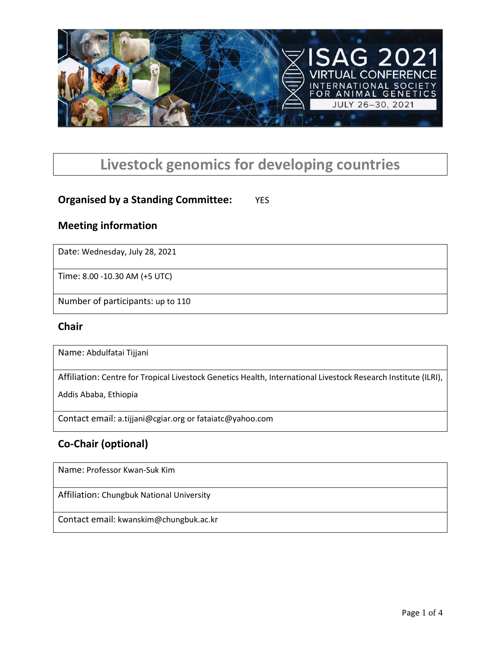

# **Livestock genomics for developing countries**

### **Organised by a Standing Committee:** YES

#### **Meeting information**

Date: Wednesday, July 28, 2021

Time: 8.00 -10.30 AM (+5 UTC)

Number of participants: up to 110

#### **Chair**

Name: Abdulfatai Tijjani

Affiliation: Centre for Tropical Livestock Genetics Health, International Livestock Research Institute (ILRI),

Addis Ababa, Ethiopia

Contact email: a.tijjani@cgiar.org or fataiatc@yahoo.com

### **Co-Chair (optional)**

Name: Professor Kwan-Suk Kim

Affiliation: Chungbuk National University

Contact email: kwanskim@chungbuk.ac.kr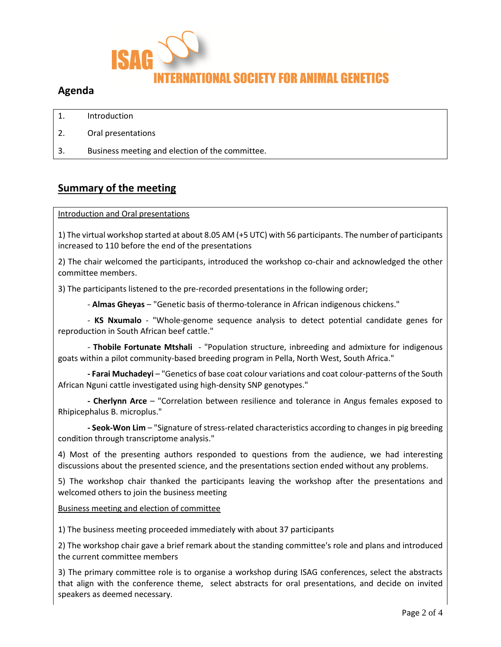

#### **Agenda**

- 1. Introduction
- 2. Oral presentations
- 3. Business meeting and election of the committee.

#### **Summary of the meeting**

Introduction and Oral presentations

1) The virtual workshop started at about 8.05 AM (+5 UTC) with 56 participants. The number of participants increased to 110 before the end of the presentations

2) The chair welcomed the participants, introduced the workshop co-chair and acknowledged the other committee members.

3) The participants listened to the pre-recorded presentations in the following order;

- **Almas Gheyas** – "Genetic basis of thermo-tolerance in African indigenous chickens."

- **KS Nxumalo** - "Whole-genome sequence analysis to detect potential candidate genes for reproduction in South African beef cattle."

- **Thobile Fortunate Mtshali** - "Population structure, inbreeding and admixture for indigenous goats within a pilot community-based breeding program in Pella, North West, South Africa."

**- Farai Muchadeyi** – "Genetics of base coat colour variations and coat colour-patterns of the South African Nguni cattle investigated using high-density SNP genotypes."

**- Cherlynn Arce** – "Correlation between resilience and tolerance in Angus females exposed to Rhipicephalus B. microplus."

**- Seok-Won Lim** – "Signature of stress-related characteristics according to changes in pig breeding condition through transcriptome analysis."

4) Most of the presenting authors responded to questions from the audience, we had interesting discussions about the presented science, and the presentations section ended without any problems.

5) The workshop chair thanked the participants leaving the workshop after the presentations and welcomed others to join the business meeting

#### Business meeting and election of committee

1) The business meeting proceeded immediately with about 37 participants

2) The workshop chair gave a brief remark about the standing committee's role and plans and introduced the current committee members

3) The primary committee role is to organise a workshop during ISAG conferences, select the abstracts that align with the conference theme, select abstracts for oral presentations, and decide on invited speakers as deemed necessary.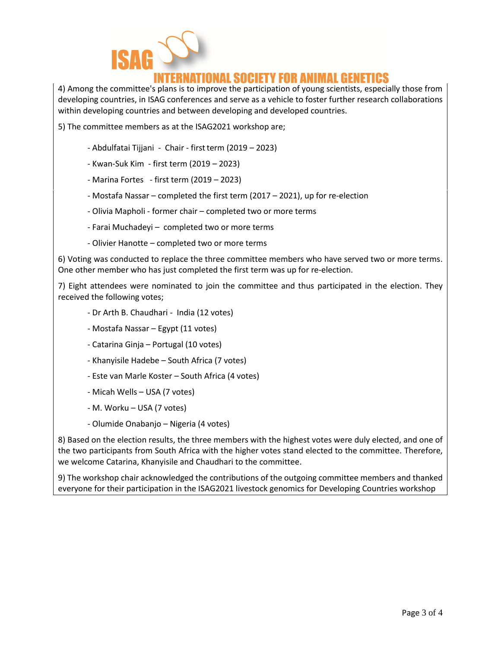

## RNATIONAL SOCIETY FOR ANIMAL GENETICS

4) Among the committee's plans is to improve the participation of young scientists, especially those from developing countries, in ISAG conferences and serve as a vehicle to foster further research collaborations within developing countries and between developing and developed countries.

5) The committee members as at the ISAG2021 workshop are;

- Abdulfatai Tijjani Chair first term (2019 2023)
- Kwan-Suk Kim first term (2019 2023)
- Marina Fortes first term (2019 2023)
- Mostafa Nassar completed the first term (2017 2021), up for re-election
- Olivia Mapholi former chair completed two or more terms
- Farai Muchadeyi completed two or more terms
- Olivier Hanotte completed two or more terms

6) Voting was conducted to replace the three committee members who have served two or more terms. One other member who has just completed the first term was up for re-election.

7) Eight attendees were nominated to join the committee and thus participated in the election. They received the following votes;

- Dr Arth B. Chaudhari India (12 votes)
- Mostafa Nassar Egypt (11 votes)
- Catarina Ginja Portugal (10 votes)
- Khanyisile Hadebe South Africa (7 votes)
- Este van Marle Koster South Africa (4 votes)
- Micah Wells USA (7 votes)
- M. Worku USA (7 votes)
- Olumide Onabanjo Nigeria (4 votes)

8) Based on the election results, the three members with the highest votes were duly elected, and one of the two participants from South Africa with the higher votes stand elected to the committee. Therefore, we welcome Catarina, Khanyisile and Chaudhari to the committee.

9) The workshop chair acknowledged the contributions of the outgoing committee members and thanked everyone for their participation in the ISAG2021 livestock genomics for Developing Countries workshop